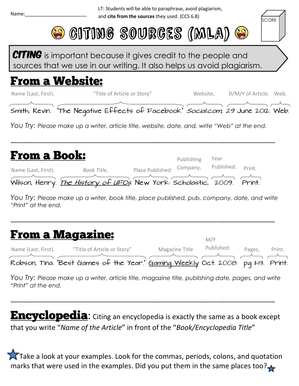LT: Students will be able to paraphrase, avoid plagiarism, and **cite from the sources** they used. (CCS 6.8)



**CITING** is important because it gives credit to the people and sources that we use in our writing. It also helps us avoid plagiarism.

## **From a Website:**

| Name (Last, First).                                                                          |             | "Title of Article or Story" | Website,   |            | D/M/Y of Article. Web. |  |
|----------------------------------------------------------------------------------------------|-------------|-----------------------------|------------|------------|------------------------|--|
| Smith, Kevin. "The Negative Effects of Facebook" Social.com, 29 June 2012. Web.              |             |                             |            |            |                        |  |
| You Try: Please make up a writer, article title, website, date, and, write "Web" at the end. |             |                             |            |            |                        |  |
| <b>From a Book:</b>                                                                          |             |                             | Publishing | Year       |                        |  |
| Name (Last, First).                                                                          | Book Title, | Place Published:            | Company,   | Published. | Print.                 |  |

*You Try: Please make up a writer, book title, place published, pub. company, date, and write "Print" at the end.*

\_\_\_\_\_\_\_\_\_\_\_\_\_\_\_\_\_\_\_\_\_\_\_\_\_\_\_\_\_\_\_\_\_\_\_\_\_\_\_\_\_\_\_\_\_\_\_\_\_\_\_\_\_\_\_\_\_\_\_\_\_\_\_\_\_\_\_\_

| <b>From a Magazine:</b> |                                                                                                                |                | M/Y        |        |        |
|-------------------------|----------------------------------------------------------------------------------------------------------------|----------------|------------|--------|--------|
| Name (Last, First).     | "Title of Article or Story"                                                                                    | Magazine Title | Published: | Pages, | Print. |
|                         | Robson, Tina. "Best Games of the Year." Gaming Weekly Oct. 2008: pq II-13. Print.                              |                |            |        |        |
|                         | Nou True Disso produce un proportion politic de la proportion litte probabilitation dels proportions de contra |                |            |        |        |

*You Try: Please make up a writer, article title, magazine title, publishing date, pages, and write "Print" at the end.*

\_\_\_\_\_\_\_\_\_\_\_\_\_\_\_\_\_\_\_\_\_\_\_\_\_\_\_\_\_\_\_\_\_\_\_\_\_\_\_\_\_\_\_\_\_\_\_\_\_\_\_\_\_\_\_\_\_\_\_\_\_\_\_\_\_\_\_\_

**Encyclopedia:** Citing an encyclopedia is exactly the same as a book except that you write "*Name of the Article*" in front of the "*Book/Encyclopedia Title*"

Take a look at your examples. Look for the commas, periods, colons, and quotation marks that were used in the examples. Did you put them in the same places too?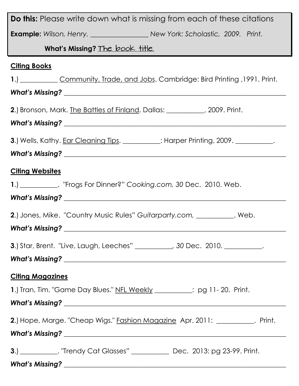| <b>Do this:</b> Please write down what is missing from each of these citations              |
|---------------------------------------------------------------------------------------------|
|                                                                                             |
| What's Missing? The book title.                                                             |
| <b>Citing Books</b>                                                                         |
| 1.) Community, Trade, and Jobs. Cambridge: Bird Printing , 1991. Print.                     |
|                                                                                             |
| 2.) Bronson, Mark. The Battles of Finland. Dallas: _________, 2009. Print.                  |
|                                                                                             |
| <b>3.</b> ) Wells, Kathy. Ear Cleaning Tips. __________: Harper Printing, 2009. __________. |
|                                                                                             |
| <b>Citing Websites</b>                                                                      |
| 1.) ____________. "Frogs For Dinner?" Cooking.com, 30 Dec. 2010. Web.                       |
|                                                                                             |
| <b>2.</b> ) Jones, Mike. "Country Music Rules" Guitarparty.com, __________. Web.            |
| <b>What's Missing?</b>                                                                      |
|                                                                                             |
| <b>3.</b> Star, Brent. "Live, Laugh, Leeches" _________, 30 Dec. 2010. __________.          |
|                                                                                             |
| <b>Citing Magazines</b>                                                                     |
| 1.) Tran, Tim. "Game Day Blues." NFL Weekly ________; pg 11-20. Print.                      |
|                                                                                             |
| 2.) Hope, Marge. "Cheap Wigs." Fashion Magazine Apr. 2011: __________. Print.               |
|                                                                                             |
| <b>3.)</b> _____________. "Trendy Cat Glasses" ______________ Dec. 2013: pg 23-99. Print.   |
|                                                                                             |